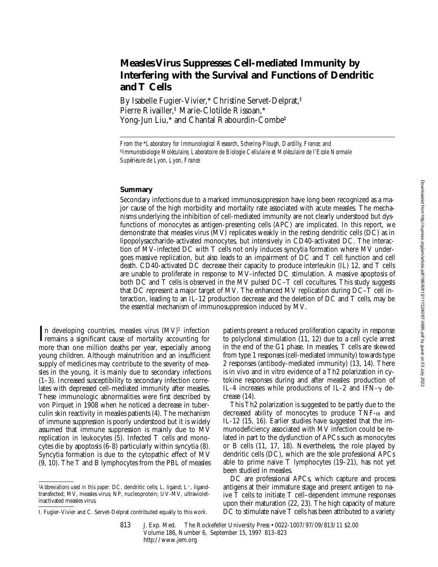# **Measles Virus Suppresses Cell-mediated Immunity by Interfering with the Survival and Functions of Dendritic and T Cells**

By Isabelle Fugier-Vivier,\* Christine Servet-Delprat,‡ Pierre Rivailler,‡ Marie-Clotilde Rissoan,\* Yong-Jun Liu,\* and Chantal Rabourdin-Combe‡

*From the* \**Laboratory for Immunological Research, Schering-Plough, Dardilly, France; and*  ‡*Immunobiologie Moléculaire, Laboratoire de Biologie Cellulaire et Moléculaire de l'Ecole Normale Supérieure de Lyon, Lyon, France*

### **Summary**

Secondary infections due to a marked immunosuppression have long been recognized as a major cause of the high morbidity and mortality rate associated with acute measles. The mechanisms underlying the inhibition of cell-mediated immunity are not clearly understood but dysfunctions of monocytes as antigen-presenting cells (APC) are implicated. In this report, we demonstrate that measles virus (MV) replicates weakly in the resting dendritic cells (DC) as in lipopolysaccharide-activated monocytes, but intensively in CD40-activated DC. The interaction of MV-infected DC with T cells not only induces syncytia formation where MV undergoes massive replication, but also leads to an impairment of DC and T cell function and cell death. CD40-activated DC decrease their capacity to produce interleukin (IL) 12, and T cells are unable to proliferate in response to MV-infected DC stimulation. A massive apoptosis of both DC and T cells is observed in the MV pulsed DC–T cell cocultures. This study suggests that DC represent a major target of MV. The enhanced MV replication during DC–T cell interaction, leading to an IL-12 production decrease and the deletion of DC and T cells, may be the essential mechanism of immunosuppression induced by MV.

In developing countries, measles virus (MV)<sup>1</sup> infection<br>remains a significant cause of mortality accounting for In developing countries, measles virus  $(MV)^1$  infection more than one million deaths per year, especially among young children. Although malnutrition and an insufficient supply of medicines may contribute to the severity of measles in the young, it is mainly due to secondary infections (1–3). Increased susceptibility to secondary infection correlates with depressed cell-mediated immunity after measles. These immunologic abnormalities were first described by von Pirquet in 1908 when he noticed a decrease in tuberculin skin reactivity in measles patients (4). The mechanism of immune suppression is poorly understood but it is widely assumed that immune suppression is mainly due to MV replication in leukocytes (5). Infected T cells and monocytes die by apoptosis (6-8) particularly within syncytia (8). Syncytia formation is due to the cytopathic effect of MV (9, 10). The T and B lymphocytes from the PBL of measles

patients present a reduced proliferation capacity in response to polyclonal stimulation (11, 12) due to a cell cycle arrest in the end of the G1 phase. In measles, T cells are skewed from type 1 responses (cell-mediated immunity) towards type 2 responses (antibody-mediated immunity) (13, 14). There is in vivo and in vitro evidence of a Th2 polarization in cytokine responses during and after measles: production of IL-4 increases while productions of IL-2 and IFN- $\gamma$  decrease (14).

This Th2 polarization is suggested to be partly due to the decreased ability of monocytes to produce  $TNF-\alpha$  and IL-12 (15, 16). Earlier studies have suggested that the immunodeficiency associated with MV infection could be related in part to the dysfunction of APCs such as monocytes or B cells (11, 17, 18). Nevertheless, the role played by dendritic cells (DC), which are the sole professional APCs able to prime naive T lymphocytes (19–21), has not yet been studied in measles.

DC are professional APCs, which capture and process antigens at their immature stage and present antigen to naive T cells to initiate T cell–dependent immune responses upon their maturation (22, 23). The high capacity of mature DC to stimulate naive T cells has been attributed to a variety

<sup>&</sup>lt;sup>1</sup>Abbreviations used in this paper: DC, dendritic cells; L, ligand; L<sup>+</sup>, ligandtransfected; MV, measles virus; NP, nucleoprotein; UV-MV, ultravioletinactivated measles virus.

I. Fugier-Vivier and C. Servet-Delprat contributed equally to this work.

<sup>813</sup> J. Exp. Med. © The Rockefeller University Press • 0022-1007/97/09/813/11 \$2.00 Volume 186, Number 6, September 15, 1997 813–823 http://www.jem.org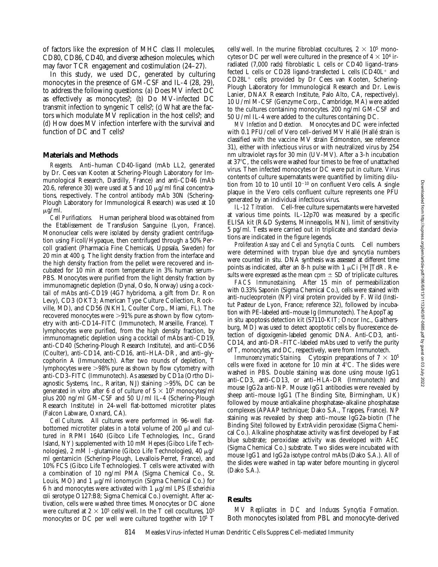of factors like the expression of MHC class II molecules, CD80, CD86, CD40, and diverse adhesion molecules, which may favor TCR engagement and costimulation (24–27).

In this study, we used DC, generated by culturing monocytes in the presence of GM-CSF and IL-4 (28, 29), to address the following questions: (*a*) Does MV infect DC as effectively as monocytes?; (*b*) Do MV-infected DC transmit infection to syngenic T cells?; (*c*) What are the factors which modulate MV replication in the host cells?; and (*d*) How does MV infection interfere with the survival and function of DC and T cells?

#### **Materials and Methods**

*Reagents.* Anti–human CD40-ligand (mAb LL2, generated by Dr. Cees van Kooten at Schering-Plough Laboratory for Immunological Research, Dardilly, France) and anti-CD46 (mAb 20.6, reference 30) were used at 5 and 10  $\mu$ g/ml final concentrations, respectively. The control antibody mAb 30N (Schering-Plough Laboratory for Immunological Research) was used at 10  $\mu$ g/ml.

*Cell Purifications.* Human peripheral blood was obtained from the Etablissement de Transfusion Sanguine (Lyon, France). Mononuclear cells were isolated by density gradient centrifugation using Ficoll/Hypaque, then centrifuged through a 50% Percoll gradient (Pharmacia Fine Chemicals, Uppsala, Sweden) for 20 min at 400 *g.* The light density fraction from the interface and the high density fraction from the pellet were recovered and incubated for 10 min at room temperature in 3% human serum– PBS. Monocytes were purified from the light density fraction by immunomagnetic depletion (Dynal, Oslo, Norway) using a cocktail of mAbs anti-CD19 (4G7 hybridoma, a gift from Dr. Ron Levy), CD3 (OKT3; American Type Culture Collection, Rockville, MD), and CD56 (NKH1, Coulter Corp., Miami, FL). The recovered monocytes were  $>91\%$  pure as shown by flow cytometry with anti-CD14–FITC (Immunotech, Marseille, France). T lymphocytes were purified, from the high density fraction, by immunomagnetic depletion using a cocktail of mAbs anti-CD19, anti-CD40 (Schering-Plough Research Institute), and anti-CD56 (Coulter), anti-CD14, anti-CD16, anti–HLA-DR, and anti–glycophorin A (Immunotech). After two rounds of depletion, T lymphocytes were  $>98\%$  pure as shown by flow cytometry with anti-CD3–FITC (Immunotech). As assessed by CD1a (Ortho Diagnostic Systems, Inc., Raritan, NJ) staining  $>95\%$ , DC can be generated in vitro after 6 d of culture of  $5 \times 10^5$  monocytes/ml plus 200 ng/ml GM-CSF and 50 U/ml IL-4 (Schering-Plough Research Institute) in 24-well flat-bottomed microtiter plates (Falcon Labware, Oxnard, CA).

*Cell Cultures.* All cultures were performed in 96-well flatbottomed microtiter plates in a total volume of 200  $\mu$ l and cultured in RPMI 1640 (Gibco Life Technologies, Inc., Grand Island, NY) supplemented with 10 mM Hepes (Gibco Life Technologies), 2 mM l-glutamine (Gibco Life Technologies), 40  $\mu$ g/ ml gentamicin (Schering-Plough, Levallois-Perret, France), and 10% FCS (Gibco Life Technologies). T cells were activated with a combination of 10 ng/ml PMA (Sigma Chemical Co., St. Louis, MO) and  $1 \mu g/ml$  ionomycin (Sigma Chemical Co.) for 6 h and monocytes were activated with 1 mg/ml LPS (*Escherichia coli* serotype O127:B8; Sigma Chemical Co.) overnight. After activation, cells were washed three times. Monocytes or DC alone were cultured at  $2 \times 10^5$  cells/well. In the T cell cocultures,  $10^5$ monocytes or DC per well were cultured together with 105 T

cells/well. In the murine fibroblast cocultures,  $2 \times 10^5$  monocytes or DC per well were cultured in the presence of  $4 \times 10^4$  irradiated (7,000 rads) fibroblastic L cells or CD40 ligand–transfected L cells or CD28 ligand-transfected L cells  $(CD40L<sup>+</sup>$  and CD28L<sup>+</sup> cells; provided by Dr Cees van Kooten, Schering-Plough Laboratory for Immunological Research and Dr. Lewis Lanier, DNAX Research Institute, Palo Alto, CA, respectively). 10 U/ml M-CSF (Genzyme Corp., Cambridge, MA) were added to the cultures containing monocytes. 200 ng/ml GM-CSF and 50 U/ml IL-4 were added to the cultures containing DC.

*MV Infection and Detection.* Monocytes and DC were infected with 0.1 PFU/cell of Vero cell–derived MV Hallé (Hallé strain is classified with the vaccine MV strain Edmonston, see reference 31), either with infectious virus or with neutralized virus by 254 nm ultraviolet rays for 30 min (UV-MV). After a 3-h incubation at  $37^{\circ}$ C, the cells were washed four times to be free of unattached virus. Then infected monocytes or DC were put in culture. Virus contents of culture supernatants were quantified by limiting dilution from 10 to 10 until  $10^{-10}$  on confluent Vero cells. A single plaque in the Vero cells confluent culture represents one PFU generated by an individual infectious virus.

*IL-12 Titration.* Cell-free culture supernatants were harvested at various time points. IL-12p70 was measured by a specific ELISA kit (R&D Systems, Minneapolis, MN), limit of sensitivity 5 pg/ml. Tests were carried out in triplicate and standard deviations are indicated in the figure legends.

*Proliferation Assay and Cell and Syncytia Counts.* Cell numbers were determined with trypan blue dye and syncytia numbers were counted in situ. DNA synthesis was assessed at different time points as indicated, after an 8-h pulse with 1  $\mu$ Ci [3H]TdR. Results were expressed as the mean cpm  $\pm$  SD of triplicate cultures.

*FACS Immunostaining.* After 15 min of permeabilization with 0.33% Saponin (Sigma Chemical Co.), cells were stained with anti-nucleoprotein (NP) viral protein provided by F. Wild (Institut Pasteur de Lyon, France; reference 32), followed by incubation with PE-labeled anti–mouse Ig (Immunotech). The ApopTag™ in situ apoptosis detection kit (S7110-KIT; Oncor Inc., Gaithersburg, MD) was used to detect apoptotic cells by fluorescence detection of digoxigenin-labeled genomic DNA. Anti-CD3, anti-CD14, and anti-DR–FITC-labeled mAbs used to verify the purity of T, monocytes, and DC, respectively, were from Immunotech.

*Immunoenzymatic Staining.* Cytospin preparations of  $7 \times 10^5$ cells were fixed in acetone for 10 min at  $4^{\circ}$ C. The slides were washed in PBS. Double staining was done using mouse IgG1 anti-CD3, anti-CD13, or anti–HLA-DR (Immunotech) and mouse IgG2a anti-NP. Mouse IgG1 antibodies were revealed by sheep anti–mouse IgG1 (The Binding Site, Birmingham, UK) followed by mouse antialkaline phosphatase–alkaline phosphatase complexes (APAAP technique; Dako S.A., Trappes, France). NP staining was revealed by sheep anti–mouse IgG2a-biotin (The Binding Site) followed by ExtrAvidin peroxidase (Sigma Chemical Co.). Alkaline phosphatase activity was first developed by Fast blue substrate; peroxidase activity was developed with AEC (Sigma Chemical Co.) substrate. Two slides were incubated with mouse IgG1 and IgG2a isotype control mAbs (Dako S.A.). All of the slides were washed in tap water before mounting in glycerol (Dako S.A.).

## **Results**

*MV Replicates in DC and Induces Syncytia Formation.* Both monocytes isolated from PBL and monocyte-derived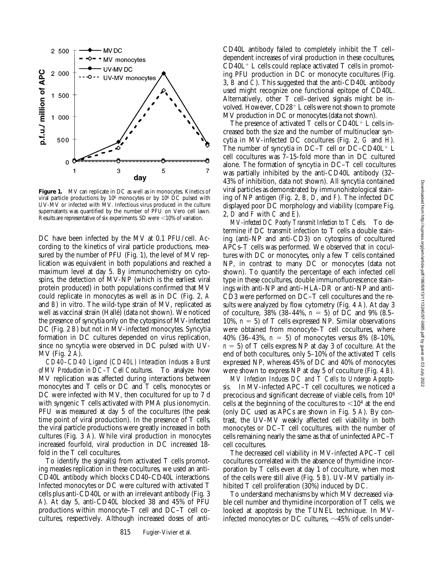

Figure 1. MV can replicate in DC as well as in monocytes. Kinetics of viral particle productions by  $10^6$  monocytes or by  $10^6$  DC pulsed with UV-MV or infected with MV. Infectious virus produced in the culture supernatants was quantified by the number of PFU on Vero cell lawn. Results are representative of six experiments. SD were  $<$ 10% of variation.

DC have been infected by the MV at 0.1 PFU/cell. According to the kinetics of viral particle productions, measured by the number of PFU (Fig. 1), the level of MV replication was equivalent in both populations and reached a maximum level at day 5. By immunochemistry on cytospins, the detection of MV-NP (which is the earliest viral protein produced) in both populations confirmed that MV could replicate in monocytes as well as in DC (Fig. 2, *A* and *B*) in vitro. The wild-type strain of MV, replicated as well as vaccinal strain (Hallé) (data not shown). We noticed the presence of syncytia only on the cytospins of MV-infected DC (Fig. 2 *B*) but not in MV-infected monocytes. Syncytia formation in DC cultures depended on virus replication, since no syncytia were observed in DC pulsed with UV-MV (Fig. 2 *A*).

*CD40–CD40 Ligand (CD40L) Interaction Induces a Burst of MV Production in DC–T Cell Cocultures.* To analyze how MV replication was affected during interactions between monocytes and T cells or DC and T cells, monocytes or DC were infected with MV, then cocultured for up to 7 d with syngenic T cells activated with PMA plus ionomycin. PFU was measured at day 5 of the cocultures (the peak time point of viral production). In the presence of T cells, the viral particle productions were greatly increased in both cultures (Fig. 3 *A*). While viral production in monocytes increased fourfold, viral production in DC increased 18 fold in the T cell cocultures.

To identify the signal(s) from activated T cells promoting measles replication in these cocultures, we used an anti-CD40L antibody which blocks CD40–CD40L interactions. Infected monocytes or DC were cultured with activated T cells plus anti-CD40L or with an irrelevant antibody (Fig. 3 *A*). At day 5, anti-CD40L blocked 38 and 45% of PFU productions within monocyte–T cell and DC–T cell cocultures, respectively. Although increased doses of anti-

CD40L antibody failed to completely inhibit the T cell– dependent increases of viral production in these cocultures,  $CD40L<sup>+</sup>$  L cells could replace activated T cells in promoting PFU production in DC or monocyte cocultures (Fig. 3, *B* and *C*). This suggested that the anti-CD40L antibody used might recognize one functional epitope of CD40L. Alternatively, other T cell–derived signals might be involved. However,  $CD28<sup>+</sup>$  L cells were not shown to promote MV production in DC or monocytes (data not shown).

The presence of activated  $T$  cells or  $CD40L<sup>+</sup>$  L cells increased both the size and the number of multinuclear syncytia in MV-infected DC cocultures (Fig. 2, *G* and *H*). The number of syncytia in  $DC-T$  cell or  $DC-CD40L^+$  L cell cocultures was 7–15-fold more than in DC cultured alone. The formation of syncytia in DC–T cell cocultures was partially inhibited by the anti-CD40L antibody (32– 43% of inhibition, data not shown). All syncytia contained viral particles as demonstrated by immunohistological staining of NP antigen (Fig. 2, *B*, *D*, and *F*). The infected DC displayed poor DC morphology and viability (compare Fig. 2, *D* and *F* with *C* and *E*).

*MV-infected DC Poorly Transmit Infection to T Cells.* To determine if DC transmit infection to T cells a double staining (anti-NP and anti-CD3) on cytospins of cocultured APCs–T cells was performed. We observed that in cocultures with DC or monocytes, only a few T cells contained NP, in contrast to many DC or monocytes (data not shown). To quantify the percentage of each infected cell type in these cocultures, double immunofluorescence stainings with anti-NP and anti–HLA-DR or anti-NP and anti-CD3 were performed on DC–T cell cocultures and the results were analyzed by flow cytometry (Fig. 4 *A*). At day 3 of coculture,  $38\%$  ( $38-44\%$ ,  $n = 5$ ) of DC and  $9\%$  ( $8.5-$ 10%,  $n = 5$ ) of T cells expressed NP. Similar observations were obtained from monocyte–T cell cocultures, where 40% (36–43%,  $n = 5$ ) of monocytes versus 8% (8–10%,  $n = 5$ ) of T cells express NP at day 3 of coculture. At the end of both cocultures, only 5–10% of the activated T cells expressed NP, whereas 45% of DC and 40% of monocytes were shown to express NP at day 5 of coculture (Fig. 4 *B*).

*MV Infection Induces DC and T Cells to Undergo Apoptosis.* In MV-infected APC–T cell cocultures, we noticed a precocious and significant decrease of viable cells, from 106 cells at the beginning of the cocultures to  $< 10<sup>4</sup>$  at the end (only DC used as APCs are shown in Fig. 5 *A*). By contrast, the UV-MV weakly affected cell viability in both monocytes or DC–T cell cocultures, with the number of cells remaining nearly the same as that of uninfected APC–T cell cocultures.

The decreased cell viability in MV-infected APC–T cell cocultures correlated with the absence of thymidine incorporation by T cells even at day 1 of coculture, when most of the cells were still alive (Fig. 5 *B*). UV-MV partially inhibited T cell proliferation (30%) induced by DC.

To understand mechanisms by which MV decreased viable cell number and thymidine incorporation of T cells, we looked at apoptosis by the TUNEL technique. In MVinfected monocytes or DC cultures,  $\sim$ 45% of cells under-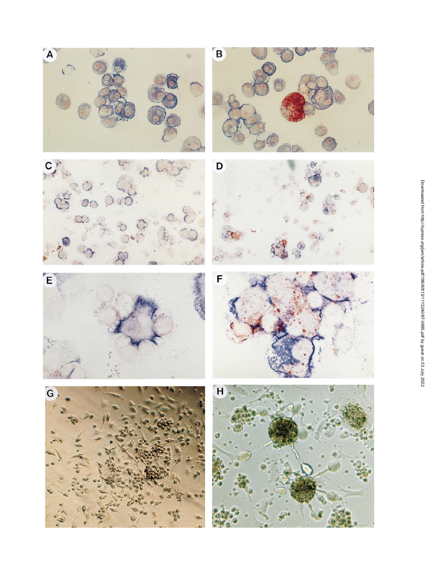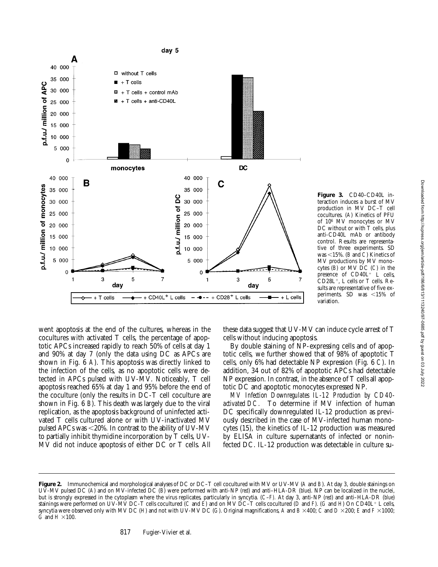

**Figure 3.** CD40–CD40L interaction induces a burst of MV production in MV DC–T cell cocultures. (*A*) Kinetics of PFU of 106 MV monocytes or MV DC without or with T cells, plus anti-CD40L mAb or antibody control. Results are representative of three experiments. SD was  $\lt 15\%$ . (*B* and *C*) Kinetics of MV productions by MV monocytes (*B*) or MV DC (*C*) in the presence of  $CD40L<sup>+</sup>$  L cells,  $CD28L^{+}$ , L cells or T cells. Results are representative of five experiments.  $SD$  was  $\lt 15\%$  of variation.

went apoptosis at the end of the cultures, whereas in the cocultures with activated T cells, the percentage of apoptotic APCs increased rapidly to reach 50% of cells at day 1 and 90% at day 7 (only the data using DC as APCs are shown in Fig. 6 *A*). This apoptosis was directly linked to the infection of the cells, as no apoptotic cells were detected in APCs pulsed with UV-MV. Noticeably, T cell apoptosis reached 65% at day 1 and 95% before the end of the coculture (only the results in DC-T cell coculture are shown in Fig. 6 *B*). This death was largely due to the viral replication, as the apoptosis background of uninfected activated T cells cultured alone or with UV-inactivated MV pulsed APCs was  $<20\%$ . In contrast to the ability of UV-MV to partially inhibit thymidine incorporation by T cells, UV-MV did not induce apoptosis of either DC or T cells. All

these data suggest that UV-MV can induce cycle arrest of T cells without inducing apoptosis.

By double staining of NP-expressing cells and of apoptotic cells, we further showed that of 98% of apoptotic T cells, only 6% had detectable NP expression (Fig. 6 *C*). In addition, 34 out of 82% of apoptotic APCs had detectable NP expression. In contrast, in the absence of T cells all apoptotic DC and apoptotic monocytes expressed NP.

*MV Infection Downregulates IL-12 Production by CD40 activated DC.* To determine if MV infection of human DC specifically downregulated IL-12 production as previously described in the case of MV-infected human monocytes (15), the kinetics of IL-12 production was measured by ELISA in culture supernatants of infected or noninfected DC. IL-12 production was detectable in culture su-

**Figure 2.** Immunochemical and morphological analyses of DC or DC–T cell cocultured with MV or UV-MV (*A* and *B*). At day 3, double stainings on UV-MV pulsed DC (*A*) and on MV-infected DC (*B*) were performed with anti-NP (*red*) and anti–HLA-DR (*blue*). NP can be localized in the nuclei, but is strongly expressed in the cytoplasm where the virus replicates, particularly in syncytia. (*C*–*F).* At day 3, anti-NP (*red*) and anti–HLA-DR (*blue*) stainings were performed on UV-MV DC-T cells cocultured  $(C \text{ and } E)$  and on MV DC–T cells cocultured  $(D \text{ and } F)$ .  $(G \text{ and } H)$  On CD40L<sup>+</sup> L cells, syncytia were observed only with MV DC (*H*) and not with UV-MV DC (*G*). Original magnifications, *A* and  $B \times 400$ ; *C* and  $D \times 200$ ; *E* and  $F \times 1000$ ; *G* and  $H \times 100$ .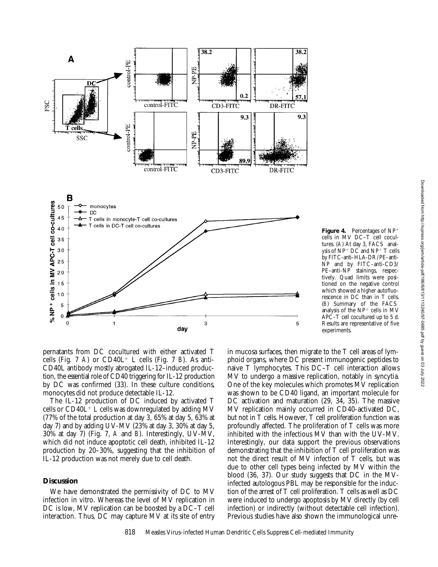

Figure 4. Percentages of NP<sup>+</sup> cells in MV DC–T cell cocultures. (A) At day 3, FACS<sup>®</sup> analysis of  $NP^+$  DC and  $NP^+$  T cells by FITC-anti–HLA-DR/PE–anti-NP and by FITC–anti-CD3/ PE-anti-NP stainings, respectively. Quad limits were positioned on the negative control which showed a higher autofluorescence in DC than in T cells. (*B*) Summary of the FACS analysis of the  $NP^+$  cells in MV APC–T cell cocultured up to 5 d. Results are representative of five experiments.

pernatants from DC cocultured with either activated T cells (Fig. 7 *A*) or  $CD40L<sup>+</sup>$  L cells (Fig. 7 *B*). As anti-CD40L antibody mostly abrogated IL-12–induced production, the essential role of CD40 triggering for IL-12 production by DC was confirmed (33). In these culture conditions, monocytes did not produce detectable IL-12.

The IL-12 production of DC induced by activated T cells or  $CD40L<sup>+</sup>$  L cells was downregulated by adding MV (77% of the total production at day 3, 65% at day 5, 63% at day 7) and by adding UV-MV (23% at day 3, 30% at day 5, 30% at day 7) (Fig. 7, *A* and *B*). Interestingly, UV-MV, which did not induce apoptotic cell death, inhibited IL-12 production by 20–30%, suggesting that the inhibition of IL-12 production was not merely due to cell death.

#### **Discussion**

We have demonstrated the permissivity of DC to MV infection in vitro. Whereas the level of MV replication in DC is low, MV replication can be boosted by a DC–T cell interaction. Thus, DC may capture MV at its site of entry in mucosa surfaces, then migrate to the T cell areas of lymphoid organs, where DC present immunogenic peptides to naive T lymphocytes. This DC–T cell interaction allows MV to undergo a massive replication, notably in syncytia. One of the key molecules which promotes MV replication was shown to be CD40 ligand, an important molecule for DC activation and maturation (29, 34, 35). The massive MV replication mainly occurred in CD40-activated DC, but not in T cells. However, T cell proliferation function was profoundly affected. The proliferation of T cells was more inhibited with the infectious MV than with the UV-MV. Interestingly, our data support the previous observations demonstrating that the inhibition of T cell proliferation was not the direct result of MV infection of T cells, but was due to other cell types being infected by MV within the blood (36, 37). Our study suggests that DC in the MVinfected autologous PBL may be responsible for the induction of the arrest of T cell proliferation. T cells as well as DC were induced to undergo apoptosis by MV directly (by cell infection) or indirectly (without detectable cell infection). Previous studies have also shown the immunological unre-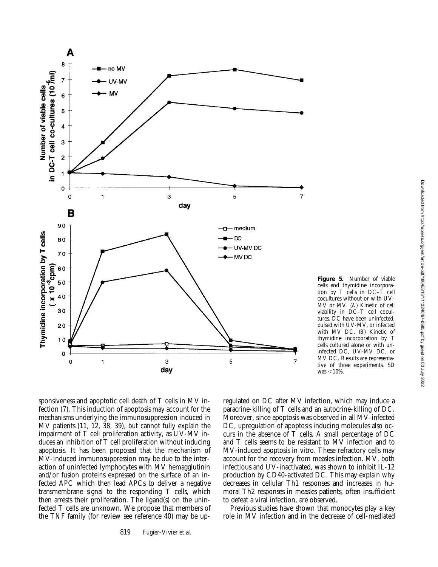

**Figure 5.** Number of viable cells and thymidine incorporation by T cells in DC–T cell cocultures without or with UV-MV or MV. (*A*) Kinetic of cell viability in DC–T cell cocultures. DC have been uninfected, pulsed with UV-MV, or infected with MV DC. (*B*) Kinetic of thymidine incorporation by T cells cultured alone or with uninfected DC, UV-MV DC, or MV DC. Results are representative of three experiments. SD  $was < 10\%$ .

sponsiveness and apoptotic cell death of T cells in MV infection (7). This induction of apoptosis may account for the mechanisms underlying the immunosuppression induced in MV patients (11, 12, 38, 39), but cannot fully explain the impairment of T cell proliferation activity, as UV-MV induces an inhibition of T cell proliferation without inducing apoptosis. It has been proposed that the mechanism of MV-induced immunosuppression may be due to the interaction of uninfected lymphocytes with MV hemagglutinin and/or fusion proteins expressed on the surface of an infected APC which then lead APCs to deliver a negative transmembrane signal to the responding T cells, which then arrests their proliferation. The ligand(s) on the uninfected T cells are unknown. We propose that members of the TNF family (for review see reference 40) may be upregulated on DC after MV infection, which may induce a paracrine-killing of T cells and an autocrine-killing of DC. Moreover, since apoptosis was observed in all MV-infected DC, upregulation of apoptosis inducing molecules also occurs in the absence of  $\overline{T}$  cells. A small percentage of DC and T cells seems to be resistant to MV infection and to MV-induced apoptosis in vitro. These refractory cells may account for the recovery from measles infection. MV, both infectious and UV-inactivated, was shown to inhibit IL-12 production by CD40-activated DC. This may explain why decreases in cellular Th1 responses and increases in humoral Th2 responses in measles patients, often insufficient to defeat a viral infection, are observed.

Previous studies have shown that monocytes play a key role in MV infection and in the decrease of cell-mediated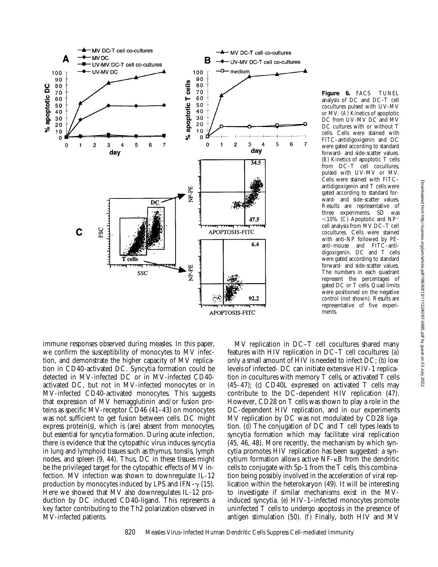



- MV DC-T cell co-cultures

UV-MV DC-T cell co-cultures

MV<sub>DC</sub>

UV-MV DC

Α

100

90

80

70 60

50

be the privileged target for the cytopathic effects of MV infection. MV infection was shown to downregulate IL-12 production by monocytes induced by LPS and IFN- $\gamma$  (15). Here we showed that MV also downregulates IL-12 production by DC induced CD40-ligand. This represents a key factor contributing to the Th2 polarization observed in MV-infected patients.

MV replication in DC–T cell cocultures shared many features with HIV replication in DC–T cell cocultures: (*a*) only a small amount of HIV is needed to infect DC; (*b*) low levels of infected- DC can initiate extensive HIV-1 replication in cocultures with memory T cells, or activated T cells (45–47); (*c*) CD40L expressed on activated T cells may contribute to the DC-dependent HIV replication (47). However, CD28 on T cells was shown to play a role in the DC-dependent HIV replication, and in our experiments MV replication by DC was not modulated by CD28 ligation. (*d*) The conjugation of DC and T cell types leads to syncytia formation which may facilitate viral replication (45, 46, 48). More recently, the mechanism by which syncytia promotes HIV replication has been suggested: a syncytium formation allows active NF-kB from the dendritic cells to conjugate with Sp-1 from the T cells, this combination being possibly involved in the acceleration of viral replication within the heterokaryon (49). It will be interesting to investigate if similar mechanisms exist in the MVinduced syncytia. (*e*) HIV-1–infected monocytes promote uninfected T cells to undergo apoptosis in the presence of antigen stimulation (50). (*f*) Finally, both HIV and MV

ments.

- MV DC-T cell co-cultures

medium

UV-MV DC-T cell co-cultures

5 6  $\overline{7}$ 

в

100

 $\boldsymbol{v}$ 

90

80

 $70$ 

60

50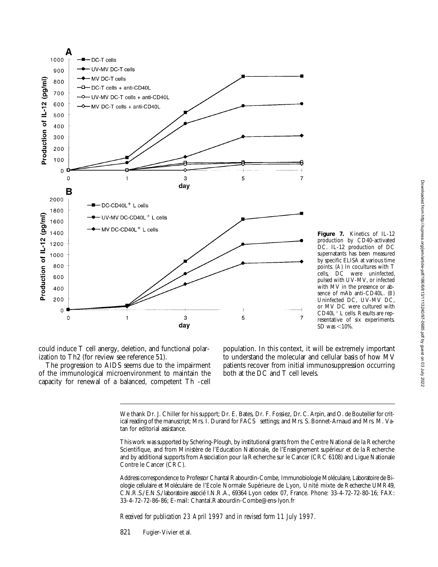

**Figure 7.** Kinetics of IL-12 production by CD40-activated DC. IL-12 production of DC supernatants has been measured by specific ELISA at various time points. (*A*) In cocultures with T cells, DC were uninfected, pulsed with UV-MV, or infected with MV in the presence or absence of mAb anti-CD40L. (*B*) Uninfected DC, UV-MV DC, or MV DC were cultured with  $CD40L<sup>+</sup>$  L cells. Results are representative of six experiments. SD was  $<$ 10%.

could induce T cell anergy, deletion, and functional polarization to Th2 (for review see reference 51).

The progression to AIDS seems due to the impairment of the immunological microenvironment to maintain the capacity for renewal of a balanced, competent Th -cell

population. In this context, it will be extremely important to understand the molecular and cellular basis of how MV patients recover from initial immunosuppression occurring both at the DC and T cell levels.

We thank Dr. J. Chiller for his support; Dr. E. Bates, Dr. F. Fossiez, Dr. C. Arpin, and O. de Bouteiller for critical reading of the manuscript; Mrs. I. Durand for FACS® settings; and Mrs. S. Bonnet-Arnaud and Mrs. M. Vatan for editorial assistance.

This work was supported by Schering-Plough, by institutional grants from the Centre National de la Recherche Scientifique, and from Ministère de l'Education Nationale, de l'Enseignement supérieur et de la Recherche and by additional supports from Association pour la Recherche sur le Cancer (CRC 6108) and Ligue Nationale Contre le Cancer (CRC).

Address correspondence to Professor Chantal Rabourdin-Combe, Immunobiologie Moléculaire, Laboratoire de Biologie cellulaire et Moléculaire de l'Ecole Normale Supérieure de Lyon, Unité mixte de Recherche UMR49, C.N.R.S./E.N.S./laboratoire associé I.N.R.A., 69364 Lyon cedex 07, France. Phone: 33-4-72-72-80-16; FAX: 33-4-72-72-86-86; E-mail: Chantal.Rabourdin-Combe@ens-lyon.fr

*Received for publication 23 April 1997 and in revised form 11 July 1997.*

821 Fugier-Vivier et al.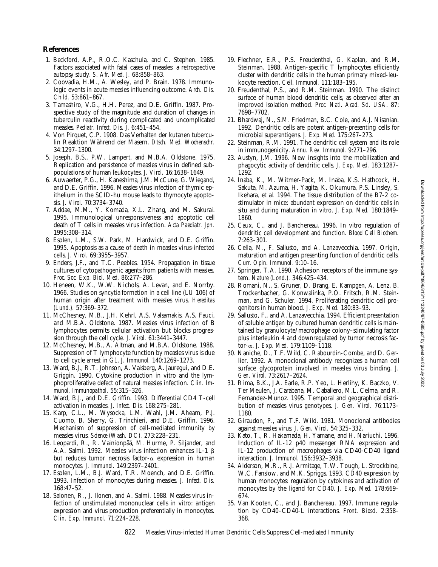- 1. Beckford, A.P., R.O.C. Kaschula, and C. Stephen. 1985. Factors associated with fatal cases of measles: a retrospective autopsy study. *S. Afr. Med. J.* 68:858–863.
- 2. Coovadia, H.M., A. Wesley, and P. Brain. 1978. Immunologic events in acute measles influencing outcome. *Arch. Dis. Child.* 53:861–867.
- 3. Tamashiro, V.G., H.H. Perez, and D.E. Griffin. 1987. Prospective study of the magnitude and duration of changes in tuberculin reactivity during complicated and uncomplicated measles. *Pediatr. Infect. Dis. J.* 6:451–454.
- 4. Von Pirquet, C.P. 1908. Das Verhalten der kutanen tuberculin Reaktion Während der Masern. *Dtsch. Med. Wochenschr.* 34:1297–1300.
- 5. Joseph, B.S., P.W. Lampert, and M.B.A. Oldstone. 1975. Replication and persistence of measles virus in defined subpopulations of human leukocytes. *J. Virol.* 16:1638–1649.
- 6. Auwaerter, P.G., H. Kaneshima, J.M. McCune, G. Wiegand, and D.E. Griffin. 1996. Measles virus infection of thymic epithelium in the SCID-hu mouse leads to thymocyte apoptosis. *J. Virol.* 70:3734–3740.
- 7. Addae, M.M., Y. Komada, X.L. Zhang, and M. Sakurai. 1995. Immunological unresponsiveness and apoptotic cell death of T cells in measles virus infection. *Acta Paediatr. Jpn.* 1995:308–314.
- 8. Esolen, L.M., S.W. Park, M. Hardwick, and D.E. Griffin. 1995. Apoptosis as a cause of death in measles virus-infected cells. *J. Virol.* 69:3955–3957.
- 9. Enders, J.F., and T.C. Peebles. 1954. Propagation in tissue cultures of cytopathogenic agents from patients with measles. *Proc. Soc. Exp. Biol. Med.* 86:277–286.
- 10. Heneen, W.K., W.W. Nichols, A. Levan, and E. Norrby. 1966. Studies on syncytia formation in a cell line (LU 106) of human origin after treatment with measles virus. *Hereditas (Lund.).* 57:369–372.
- 11. McChesney, M.B., J.H. Kehrl, A.S. Valsamakis, A.S. Fauci, and M.B.A. Oldstone. 1987. Measles virus infection of B lymphocytes permits cellular activation but blocks progression through the cell cycle. *J. Virol.* 61:3441–3447.
- 12. McChesney, M.B., A. Altman, and M.B.A. Oldstone. 1988. Suppression of T lymphocyte function by measles virus is due to cell cycle arrest in G1. *J. Immunol.* 140:1269–1273.
- 13. Ward, B.J., R.T. Johnson, A. Vaisberg, A. Jauregui, and D.E. Griggin. 1990. Cytokine production in vitro and the lymphoproliferative defect of natural measles infection. *Clin. Immunol. Immunopathol.* 55:315–326.
- 14. Ward, B.J., and D.E. Griffin. 1993. Differential CD4 T-cell activation in measles. *J. Infect. Dis.* 168:275–281.
- 15. Karp, C.L., M. Wysocka, L.M. Wahl, J.M. Ahearn, P.J. Cuomo, B. Sherry, G. Trinchieri, and D.E. Griffin. 1996. Mechanism of suppression of cell-mediated immunity by measles virus. *Science (Wash. DC).* 273:228–231.
- 16. Leopardi, R., R. Vainionpää, M. Hurme, P. Siljander, and A.A. Salmi. 1992. Measles virus infection enhances IL-1  $\beta$ but reduces tumor necrosis factor- $\alpha$  expression in human monocytes. *J. Immunol.* 149:2397–2401.
- 17. Esolen, L.M., B.J. Ward, T.R. Moench, and D.E. Griffin. 1993. Infection of monocytes during measles. *J. Infect. Dis.* 168:47–52.
- 18. Salonen, R., J. Ilonen, and A. Salmi. 1988. Measles virus infection of unstimulated mononuclear cells in vitro: antigen expression and virus production preferentially in monocytes. *Clin. Exp. Immunol.* 71:224–228.
- 19. Flechner, E.R., P.S. Freudenthal, G. Kaplan, and R.M. Steinman. 1988. Antigen-specific T lymphocytes efficiently cluster with dendritic cells in the human primary mixed-leukocyte reaction. *Cell. Immunol.* 111:183–195.
- 20. Freudenthal, P.S., and R.M. Steinman. 1990. The distinct surface of human blood dendritic cells, as observed after an improved isolation method. *Proc. Natl. Acad. Sci. USA.* 87: 7698–7702.
- 21. Bhardwaj, N., S.M. Friedman, B.C. Cole, and A.J. Nisanian. 1992. Dendritic cells are potent antigen-presenting cells for microbial superantigens. *J. Exp. Med.* 175:267–273.
- 22. Steinman, R.M. 1991. The dendritic cell system and its role in immunogenicity. *Annu. Rev. Immunol.* 9:271–296.
- 23. Austyn, J.M. 1996. New insights into the mobilization and phagocytic activity of dendritic cells. *J. Exp. Med.* 183:1287– 1292.
- 24. Inaba, K., M. Witmer-Pack, M. Inaba, K.S. Hathcock, H. Sakuta, M. Azuma, H. Yagita, K. Okumura, P.S. Linsley, S. Ikehara, et al. 1994. The tissue distribution of the B7-2 costimulator in mice: abundant expression on dendritic cells in situ and during maturation in vitro. *J. Exp. Med.* 180:1849– 1860.
- 25. Caux, C., and J. Banchereau. 1996. In vitro regulation of dendritic cell development and function. *Blood Cell Biochem.* 7:263–301.
- 26. Cella, M., F. Sallusto, and A. Lanzavecchia. 1997. Origin, maturation and antigen presenting function of dendritic cells. *Curr. Opin. Immunol.* 9:10–16.
- 27. Springer, T.A. 1990. Adhesion receptors of the immune system. *Nature (Lond.).* 346:425–434.
- 28. Romani, N., S. Gruner, D. Brang, E. Kampgen, A. Lenz, B. Trockenbacher, G. Konwalinka, P.O. Fritsch, R.M. Steinman, and G. Schuler. 1994. Proliferating dendritic cell progenitors in human blood. *J. Exp. Med.* 180:83–93.
- 29. Sallusto, F., and A. Lanzavecchia. 1994. Efficient presentation of soluble antigen by cultured human dendritic cells is maintained by granulocyte/macrophage colony–stimulating factor plus interleukin 4 and downregulated by tumor necrosis factor-a. *J. Exp. Med.* 179:1109–1118.
- 30. Naniche, D., T.F. Wild, C. Rabourdin-Combe, and D. Gerlier. 1992. A monoclonal antibody recognizes a human cell surface glycoprotein involved in measles virus binding. *J. Gen. Virol.* 73:2617–2624.
- 31. Rima, B.K., J.A. Earle, R.P. Yeo, L. Herlihy, K. Baczko, V. Ter Meulen, J. Carabana, M. Caballero, M.L. Celma, and R. Fernandez-Munoz. 1995. Temporal and geographical distribution of measles virus genotypes. *J. Gen. Virol.* 76:1173– 1180.
- 32. Giraudon, P., and T.F. Wild. 1981. Monoclonal antibodies against measles virus. *J. Gen. Virol.* 54:325–332.
- 33. Kato, T., R. Hakamada, H. Yamane, and H. Nariuchi. 1996. Induction of IL-12 p40 messenger RNA expression and IL-12 production of macrophages via CD40-CD40 ligand interaction. *J. Immunol.* 156:3932–3938.
- 34. Alderson, M.R., R.J. Armitage, T.W. Tough, L. Strockbine, W.C. Fanslow, and M.K. Spriggs. 1993. CD40 expression by human monocytes: regulation by cytokines and activation of monocytes by the ligand for CD40. *J. Exp. Med.* 178:669– 674.
- 35. Van Kooten, C., and J. Banchereau. 1997. Immune regulation by CD40–CD40-L interactions. *Front. Biosci.* 2:358– 368.